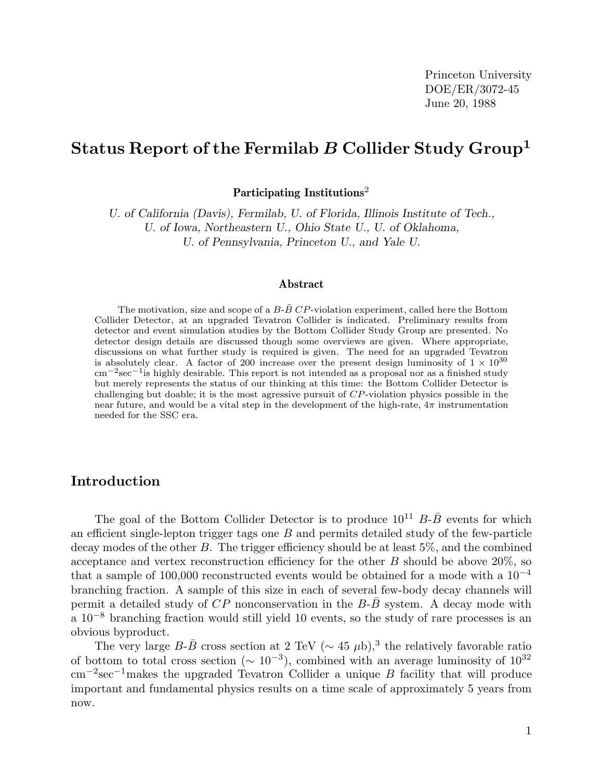Princeton University DOE/ER/3072-45 June 20, 1988

## **Status Report of the Fermilab** *B* **Collider Study Group<sup>1</sup>**

**Participating Institutions**<sup>2</sup>

*U. of California (Davis), Fermilab, U. of Florida, Illinois Institute of Tech., U. of Iowa, Northeastern U., Ohio State U., U. of Oklahoma, U. of Pennsylvania, Princeton U., and Yale U.*

## Abstract

The motivation, size and scope of a  $B-\bar{B}$  CP-violation experiment, called here the Bottom Collider Detector, at an upgraded Tevatron Collider is indicated. Preliminary results from detector and event simulation studies by the Bottom Collider Study Group are presented. No detector design details are discussed though some overviews are given. Where appropriate, discussions on what further study is required is given. The need for an upgraded Tevatron is absolutely clear. A factor of 200 increase over the present design luminosity of  $1 \times 10^{30}$ cm*−*2sec*−*1is highly desirable. This report is not intended as a proposal nor as a finished study but merely represents the status of our thinking at this time: the Bottom Collider Detector is challenging but doable; it is the most agressive pursuit of CP-violation physics possible in the near future, and would be a vital step in the development of the high-rate,  $4\pi$  instrumentation needed for the SSC era.

## **Introduction**

The goal of the Bottom Collider Detector is to produce  $10^{11}$  B- $\overline{B}$  events for which an efficient single-lepton trigger tags one  $B$  and permits detailed study of the few-particle decay modes of the other B. The trigger efficiency should be at least 5%, and the combined acceptance and vertex reconstruction efficiency for the other  $B$  should be above 20%, so that a sample of 100,000 reconstructed events would be obtained for a mode with a  $10^{-4}$ branching fraction. A sample of this size in each of several few-body decay channels will permit a detailed study of  $CP$  nonconservation in the  $B-\overline{B}$  system. A decay mode with a 10−<sup>8</sup> branching fraction would still yield 10 events, so the study of rare processes is an obvious byproduct.

The very large B- $\bar{B}$  cross section at 2 TeV ( $\sim 45 \mu b$ ),<sup>3</sup> the relatively favorable ratio of bottom to total cross section ( $\sim 10^{-3}$ ), combined with an average luminosity of  $10^{32}$ cm−<sup>2</sup>sec−<sup>1</sup>makes the upgraded Tevatron Collider a unique B facility that will produce important and fundamental physics results on a time scale of approximately 5 years from now.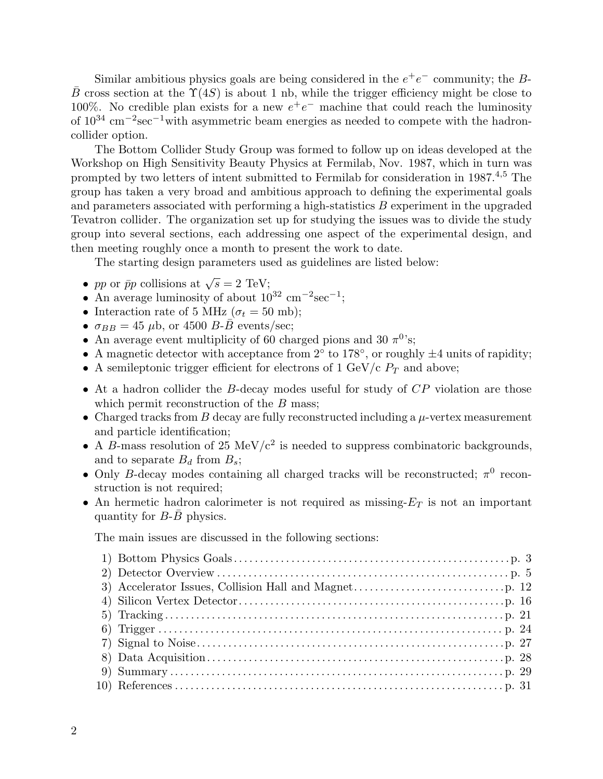Similar ambitious physics goals are being considered in the  $e^+e^-$  community; the B- $\bar{B}$  cross section at the  $\Upsilon(4S)$  is about 1 nb, while the trigger efficiency might be close to 100%. No credible plan exists for a new  $e^+e^-$  machine that could reach the luminosity of  $10^{34}$  cm<sup>-2</sup>sec<sup>-1</sup>with asymmetric beam energies as needed to compete with the hadroncollider option.

The Bottom Collider Study Group was formed to follow up on ideas developed at the Workshop on High Sensitivity Beauty Physics at Fermilab, Nov. 1987, which in turn was prompted by two letters of intent submitted to Fermilab for consideration in 1987.<sup>4</sup>*,*<sup>5</sup> The group has taken a very broad and ambitious approach to defining the experimental goals and parameters associated with performing a high-statistics  $B$  experiment in the upgraded Tevatron collider. The organization set up for studying the issues was to divide the study group into several sections, each addressing one aspect of the experimental design, and then meeting roughly once a month to present the work to date.

The starting design parameters used as guidelines are listed below:

- pp or  $\bar{p}p$  collisions at  $\sqrt{s} = 2$  TeV;
- An average luminosity of about  $10^{32}$  cm<sup>-2</sup>sec<sup>-1</sup>;
- Interaction rate of 5 MHz ( $\sigma_t = 50$  mb);
- $\sigma_{BB} = 45 \mu b$ , or 4500 *B-B* events/sec;
- An average event multiplicity of 60 charged pions and 30  $\pi^{0}$ 's;
- A magnetic detector with acceptance from  $2°$  to  $178°$ , or roughly  $\pm 4$  units of rapidity;
- A semileptonic trigger efficient for electrons of 1 GeV/c  $P_T$  and above;
- At a hadron collider the B-decay modes useful for study of CP violation are those which permit reconstruction of the  $B$  mass;
- Charged tracks from B decay are fully reconstructed including a  $\mu$ -vertex measurement and particle identification;
- A B-mass resolution of 25 MeV/ $c^2$  is needed to suppress combinatoric backgrounds, and to separate  $B_d$  from  $B_s$ ;
- Only B-decay modes containing all charged tracks will be reconstructed;  $\pi^0$  reconstruction is not required;
- An hermetic hadron calorimeter is not required as missing-E*<sup>T</sup>* is not an important quantity for  $B$ - $B$  physics.

The main issues are discussed in the following sections: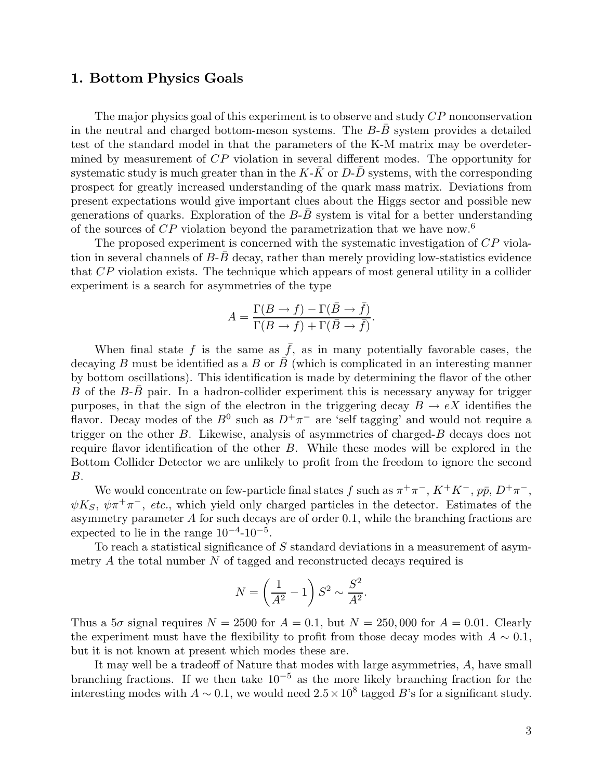## **1. Bottom Physics Goals**

The major physics goal of this experiment is to observe and study CP nonconservation in the neutral and charged bottom-meson systems. The  $B$ - $B$  system provides a detailed test of the standard model in that the parameters of the K-M matrix may be overdetermined by measurement of CP violation in several different modes. The opportunity for systematic study is much greater than in the  $K-K$  or  $D-D$  systems, with the corresponding prospect for greatly increased understanding of the quark mass matrix. Deviations from present expectations would give important clues about the Higgs sector and possible new generations of quarks. Exploration of the  $B$ - $B$  system is vital for a better understanding of the sources of  $\mathbb{CP}$  violation beyond the parametrization that we have now.<sup>6</sup>

The proposed experiment is concerned with the systematic investigation of CP violation in several channels of  $B$ - $B$  decay, rather than merely providing low-statistics evidence that CP violation exists. The technique which appears of most general utility in a collider experiment is a search for asymmetries of the type

$$
A = \frac{\Gamma(B \to f) - \Gamma(\bar{B} \to \bar{f})}{\Gamma(B \to f) + \Gamma(\bar{B} \to \bar{f})}.
$$

When final state f is the same as  $\bar{f}$ , as in many potentially favorable cases, the decaying B must be identified as a B or  $\bar{B}$  (which is complicated in an interesting manner by bottom oscillations). This identification is made by determining the flavor of the other B of the  $B$ -B pair. In a hadron-collider experiment this is necessary anyway for trigger purposes, in that the sign of the electron in the triggering decay  $B \to eX$  identifies the flavor. Decay modes of the  $B^0$  such as  $D^+\pi^-$  are 'self tagging' and would not require a trigger on the other B. Likewise, analysis of asymmetries of charged-B decays does not require flavor identification of the other B. While these modes will be explored in the Bottom Collider Detector we are unlikely to profit from the freedom to ignore the second B.

We would concentrate on few-particle final states f such as  $\pi^+\pi^-$ ,  $K^+K^-$ ,  $p\bar{p}$ ,  $D^+\pi^-$ ,  $\psi K_S$ ,  $\psi \pi^+ \pi^-$ , *etc.*, which yield only charged particles in the detector. Estimates of the asymmetry parameter A for such decays are of order 0.1, while the branching fractions are expected to lie in the range  $10^{-4}$ - $10^{-5}$ .

To reach a statistical significance of S standard deviations in a measurement of asymmetry  $A$  the total number  $N$  of tagged and reconstructed decays required is

$$
N = \left(\frac{1}{A^2} - 1\right) S^2 \sim \frac{S^2}{A^2}.
$$

Thus a  $5\sigma$  signal requires  $N = 2500$  for  $A = 0.1$ , but  $N = 250,000$  for  $A = 0.01$ . Clearly the experiment must have the flexibility to profit from those decay modes with  $A \sim 0.1$ , but it is not known at present which modes these are.

It may well be a tradeoff of Nature that modes with large asymmetries, A, have small branching fractions. If we then take  $10^{-5}$  as the more likely branching fraction for the interesting modes with  $A \sim 0.1$ , we would need  $2.5 \times 10^8$  tagged B's for a significant study.